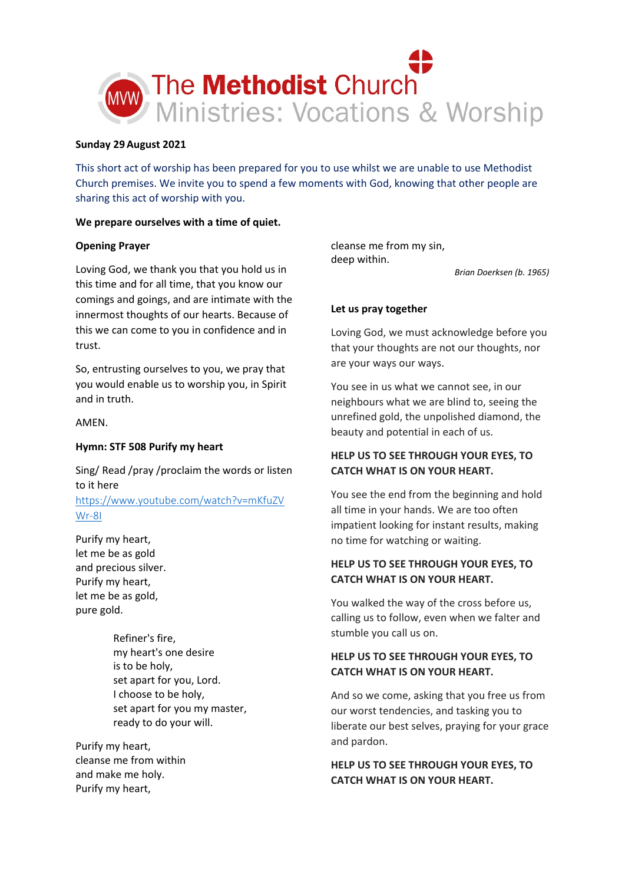

### **Sunday 29August 2021**

This short act of worship has been prepared for you to use whilst we are unable to use Methodist Church premises. We invite you to spend a few moments with God, knowing that other people are sharing this act of worship with you.

## **We prepare ourselves with a time of quiet.**

## **Opening Prayer**

Loving God, we thank you that you hold us in this time and for all time, that you know our comings and goings, and are intimate with the innermost thoughts of our hearts. Because of this we can come to you in confidence and in trust.

So, entrusting ourselves to you, we pray that you would enable us to worship you, in Spirit and in truth.

## AMEN.

### **Hymn: STF 508 Purify my heart**

Sing/ Read /pray /proclaim the words or listen to it here [https://www.youtube.com/watch?v=mKfuZV](https://www.youtube.com/watch?v=mKfuZVWr-8I) [Wr-8I](https://www.youtube.com/watch?v=mKfuZVWr-8I)

Purify my heart, let me be as gold and precious silver. Purify my heart, let me be as gold, pure gold.

> Refiner's fire, my heart's one desire is to be holy, set apart for you, Lord. I choose to be holy, set apart for you my master, ready to do your will.

Purify my heart, cleanse me from within and make me holy. Purify my heart,

cleanse me from my sin, deep within.

*Brian Doerksen (b. 1965)*

## **Let us pray together**

Loving God, we must acknowledge before you that your thoughts are not our thoughts, nor are your ways our ways.

You see in us what we cannot see, in our neighbours what we are blind to, seeing the unrefined gold, the unpolished diamond, the beauty and potential in each of us.

# **HELP US TO SEE THROUGH YOUR EYES, TO CATCH WHAT IS ON YOUR HEART.**

You see the end from the beginning and hold all time in your hands. We are too often impatient looking for instant results, making no time for watching or waiting.

## **HELP US TO SEE THROUGH YOUR EYES, TO CATCH WHAT IS ON YOUR HEART.**

You walked the way of the cross before us, calling us to follow, even when we falter and stumble you call us on.

## **HELP US TO SEE THROUGH YOUR EYES, TO CATCH WHAT IS ON YOUR HEART.**

And so we come, asking that you free us from our worst tendencies, and tasking you to liberate our best selves, praying for your grace and pardon.

**HELP US TO SEE THROUGH YOUR EYES, TO CATCH WHAT IS ON YOUR HEART.**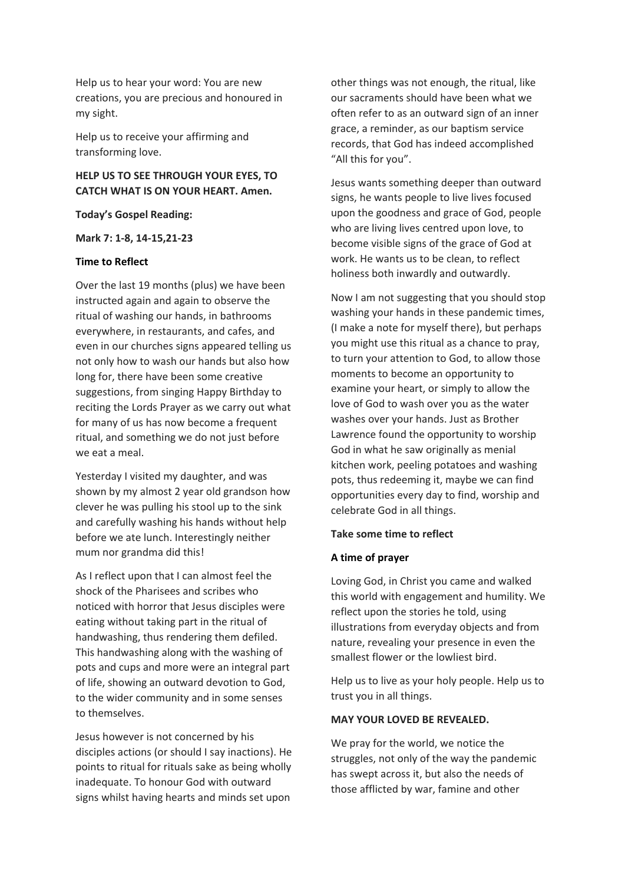Help us to hear your word: You are new creations, you are precious and honoured in my sight.

Help us to receive your affirming and transforming love.

### **HELP US TO SEE THROUGH YOUR EYES, TO CATCH WHAT IS ON YOUR HEART. Amen.**

**Today's Gospel Reading:** 

**Mark 7: 1-8, 14-15,21-23**

#### **Time to Reflect**

Over the last 19 months (plus) we have been instructed again and again to observe the ritual of washing our hands, in bathrooms everywhere, in restaurants, and cafes, and even in our churches signs appeared telling us not only how to wash our hands but also how long for, there have been some creative suggestions, from singing Happy Birthday to reciting the Lords Prayer as we carry out what for many of us has now become a frequent ritual, and something we do not just before we eat a meal.

Yesterday I visited my daughter, and was shown by my almost 2 year old grandson how clever he was pulling his stool up to the sink and carefully washing his hands without help before we ate lunch. Interestingly neither mum nor grandma did this!

As I reflect upon that I can almost feel the shock of the Pharisees and scribes who noticed with horror that Jesus disciples were eating without taking part in the ritual of handwashing, thus rendering them defiled. This handwashing along with the washing of pots and cups and more were an integral part of life, showing an outward devotion to God, to the wider community and in some senses to themselves.

Jesus however is not concerned by his disciples actions (or should I say inactions). He points to ritual for rituals sake as being wholly inadequate. To honour God with outward signs whilst having hearts and minds set upon

other things was not enough, the ritual, like our sacraments should have been what we often refer to as an outward sign of an inner grace, a reminder, as our baptism service records, that God has indeed accomplished "All this for you".

Jesus wants something deeper than outward signs, he wants people to live lives focused upon the goodness and grace of God, people who are living lives centred upon love, to become visible signs of the grace of God at work. He wants us to be clean, to reflect holiness both inwardly and outwardly.

Now I am not suggesting that you should stop washing your hands in these pandemic times, (I make a note for myself there), but perhaps you might use this ritual as a chance to pray, to turn your attention to God, to allow those moments to become an opportunity to examine your heart, or simply to allow the love of God to wash over you as the water washes over your hands. Just as Brother Lawrence found the opportunity to worship God in what he saw originally as menial kitchen work, peeling potatoes and washing pots, thus redeeming it, maybe we can find opportunities every day to find, worship and celebrate God in all things.

#### **Take some time to reflect**

#### **A time of prayer**

Loving God, in Christ you came and walked this world with engagement and humility. We reflect upon the stories he told, using illustrations from everyday objects and from nature, revealing your presence in even the smallest flower or the lowliest bird.

Help us to live as your holy people. Help us to trust you in all things.

#### **MAY YOUR LOVED BE REVEALED.**

We pray for the world, we notice the struggles, not only of the way the pandemic has swept across it, but also the needs of those afflicted by war, famine and other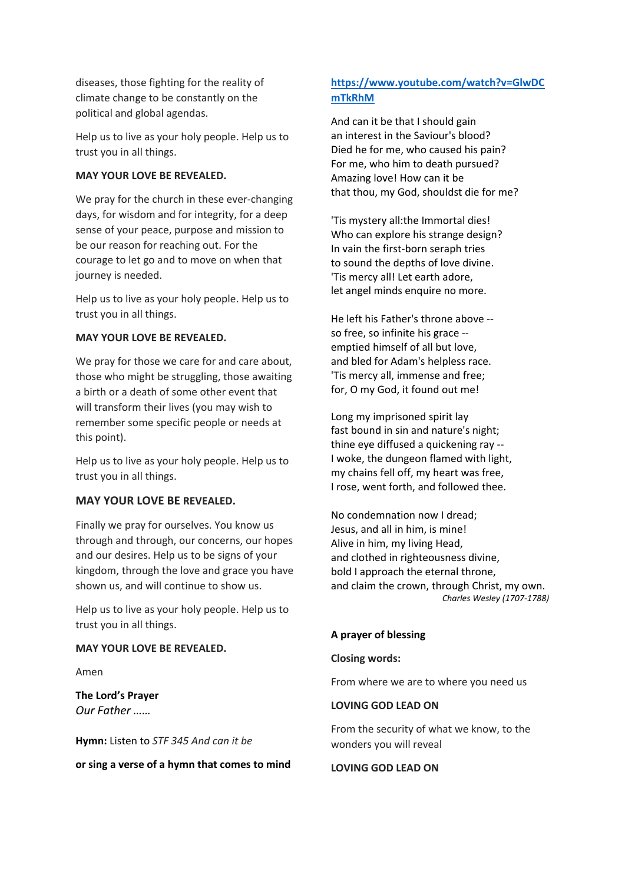diseases, those fighting for the reality of climate change to be constantly on the political and global agendas.

Help us to live as your holy people. Help us to trust you in all things.

#### **MAY YOUR LOVE BE REVEALED.**

We pray for the church in these ever-changing days, for wisdom and for integrity, for a deep sense of your peace, purpose and mission to be our reason for reaching out. For the courage to let go and to move on when that journey is needed.

Help us to live as your holy people. Help us to trust you in all things.

#### **MAY YOUR LOVE BE REVEALED.**

We pray for those we care for and care about, those who might be struggling, those awaiting a birth or a death of some other event that will transform their lives (you may wish to remember some specific people or needs at this point).

Help us to live as your holy people. Help us to trust you in all things.

## **MAY YOUR LOVE BE REVEALED.**

Finally we pray for ourselves. You know us through and through, our concerns, our hopes and our desires. Help us to be signs of your kingdom, through the love and grace you have shown us, and will continue to show us.

Help us to live as your holy people. Help us to trust you in all things.

#### **MAY YOUR LOVE BE REVEALED.**

Amen

**The Lord's Prayer** *Our Father ……*

**Hymn:** Listen to *STF 345 And can it be* 

**or sing a verse of a hymn that comes to mind**

## **[https://www.youtube.com/watch?v=GlwDC](https://www.youtube.com/watch?v=GlwDCmTkRhM) [mTkRhM](https://www.youtube.com/watch?v=GlwDCmTkRhM)**

And can it be that I should gain an interest in the Saviour's blood? Died he for me, who caused his pain? For me, who him to death pursued? Amazing love! How can it be that thou, my God, shouldst die for me?

'Tis mystery all:the Immortal dies! Who can explore his strange design? In vain the first-born seraph tries to sound the depths of love divine. 'Tis mercy all! Let earth adore, let angel minds enquire no more.

He left his Father's throne above - so free, so infinite his grace - emptied himself of all but love, and bled for Adam's helpless race. 'Tis mercy all, immense and free; for, O my God, it found out me!

Long my imprisoned spirit lay fast bound in sin and nature's night; thine eye diffused a quickening ray -- I woke, the dungeon flamed with light, my chains fell off, my heart was free, I rose, went forth, and followed thee.

No condemnation now I dread; Jesus, and all in him, is mine! Alive in him, my living Head, and clothed in righteousness divine, bold I approach the eternal throne, and claim the crown, through Christ, my own. *Charles Wesley (1707-1788)*

#### **A prayer of blessing**

#### **Closing words:**

From where we are to where you need us

#### **LOVING GOD LEAD ON**

From the security of what we know, to the wonders you will reveal

#### **LOVING GOD LEAD ON**